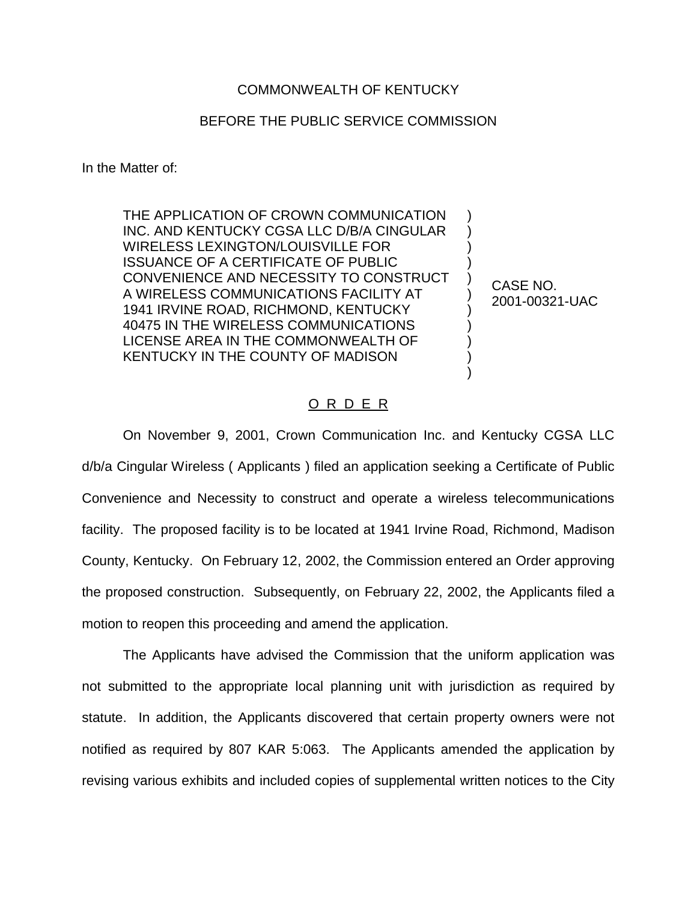## COMMONWEALTH OF KENTUCKY

## BEFORE THE PUBLIC SERVICE COMMISSION

In the Matter of:

THE APPLICATION OF CROWN COMMUNICATION INC. AND KENTUCKY CGSA LLC D/B/A CINGULAR WIRELESS LEXINGTON/LOUISVILLE FOR ISSUANCE OF A CERTIFICATE OF PUBLIC CONVENIENCE AND NECESSITY TO CONSTRUCT A WIRELESS COMMUNICATIONS FACILITY AT 1941 IRVINE ROAD, RICHMOND, KENTUCKY 40475 IN THE WIRELESS COMMUNICATIONS LICENSE AREA IN THE COMMONWEALTH OF KENTUCKY IN THE COUNTY OF MADISON

CASE NO. 2001-00321-UAC

) ) ) ) ) ) ) ) ) ) )

## O R D E R

On November 9, 2001, Crown Communication Inc. and Kentucky CGSA LLC d/b/a Cingular Wireless ( Applicants ) filed an application seeking a Certificate of Public Convenience and Necessity to construct and operate a wireless telecommunications facility. The proposed facility is to be located at 1941 Irvine Road, Richmond, Madison County, Kentucky. On February 12, 2002, the Commission entered an Order approving the proposed construction. Subsequently, on February 22, 2002, the Applicants filed a motion to reopen this proceeding and amend the application.

The Applicants have advised the Commission that the uniform application was not submitted to the appropriate local planning unit with jurisdiction as required by statute. In addition, the Applicants discovered that certain property owners were not notified as required by 807 KAR 5:063. The Applicants amended the application by revising various exhibits and included copies of supplemental written notices to the City